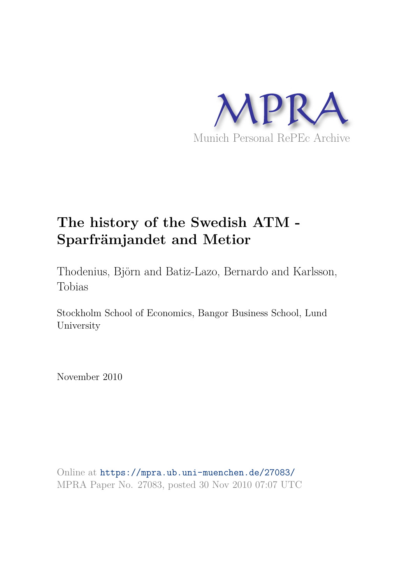

# **The history of the Swedish ATM - Sparfrämjandet and Metior**

Thodenius, Björn and Batiz-Lazo, Bernardo and Karlsson, Tobias

Stockholm School of Economics, Bangor Business School, Lund University

November 2010

Online at https://mpra.ub.uni-muenchen.de/27083/ MPRA Paper No. 27083, posted 30 Nov 2010 07:07 UTC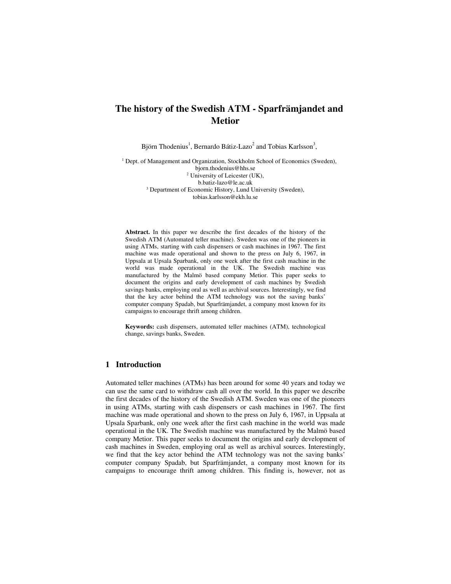# **The history of the Swedish ATM - Sparfrämjandet and Metior**

Björn Thodenius<sup>1</sup>, Bernardo Bátiz-Lazo<sup>2</sup> and Tobias Karlsson<sup>3</sup>,

<sup>1</sup> Dept. of Management and Organization, Stockholm School of Economics (Sweden), bjorn.thodenius@hhs.se 2 University of Leicester (UK), b.batiz-lazo@le.ac.uk <sup>3</sup> Department of Economic History, Lund University (Sweden), tobias.karlsson@ekh.lu.se

**Abstract.** In this paper we describe the first decades of the history of the Swedish ATM (Automated teller machine). Sweden was one of the pioneers in using ATMs, starting with cash dispensers or cash machines in 1967. The first machine was made operational and shown to the press on July 6, 1967, in Uppsala at Upsala Sparbank, only one week after the first cash machine in the world was made operational in the UK. The Swedish machine was manufactured by the Malmö based company Metior. This paper seeks to document the origins and early development of cash machines by Swedish savings banks, employing oral as well as archival sources. Interestingly, we find that the key actor behind the ATM technology was not the saving banks' computer company Spadab, but Sparfrämjandet, a company most known for its campaigns to encourage thrift among children.

**Keywords:** cash dispensers, automated teller machines (ATM), technological change, savings banks, Sweden.

# **1 Introduction**

Automated teller machines (ATMs) has been around for some 40 years and today we can use the same card to withdraw cash all over the world. In this paper we describe the first decades of the history of the Swedish ATM. Sweden was one of the pioneers in using ATMs, starting with cash dispensers or cash machines in 1967. The first machine was made operational and shown to the press on July 6, 1967, in Uppsala at Upsala Sparbank, only one week after the first cash machine in the world was made operational in the UK. The Swedish machine was manufactured by the Malmö based company Metior. This paper seeks to document the origins and early development of cash machines in Sweden, employing oral as well as archival sources. Interestingly, we find that the key actor behind the ATM technology was not the saving banks' computer company Spadab, but Sparfrämjandet, a company most known for its campaigns to encourage thrift among children. This finding is, however, not as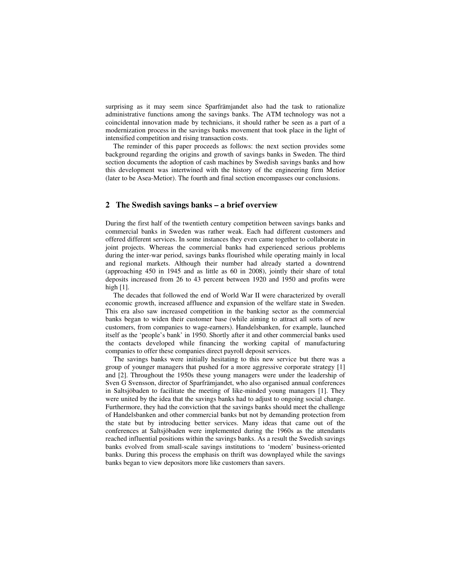surprising as it may seem since Sparfrämjandet also had the task to rationalize administrative functions among the savings banks. The ATM technology was not a coincidental innovation made by technicians, it should rather be seen as a part of a modernization process in the savings banks movement that took place in the light of intensified competition and rising transaction costs.

The reminder of this paper proceeds as follows: the next section provides some background regarding the origins and growth of savings banks in Sweden. The third section documents the adoption of cash machines by Swedish savings banks and how this development was intertwined with the history of the engineering firm Metior (later to be Asea-Metior). The fourth and final section encompasses our conclusions.

# **2 The Swedish savings banks – a brief overview**

During the first half of the twentieth century competition between savings banks and commercial banks in Sweden was rather weak. Each had different customers and offered different services. In some instances they even came together to collaborate in joint projects. Whereas the commercial banks had experienced serious problems during the inter-war period, savings banks flourished while operating mainly in local and regional markets. Although their number had already started a downtrend (approaching 450 in 1945 and as little as 60 in 2008), jointly their share of total deposits increased from 26 to 43 percent between 1920 and 1950 and profits were high [1].

The decades that followed the end of World War II were characterized by overall economic growth, increased affluence and expansion of the welfare state in Sweden. This era also saw increased competition in the banking sector as the commercial banks began to widen their customer base (while aiming to attract all sorts of new customers, from companies to wage-earners). Handelsbanken, for example, launched itself as the 'people's bank' in 1950. Shortly after it and other commercial banks used the contacts developed while financing the working capital of manufacturing companies to offer these companies direct payroll deposit services.

The savings banks were initially hesitating to this new service but there was a group of younger managers that pushed for a more aggressive corporate strategy [1] and [2]. Throughout the 1950s these young managers were under the leadership of Sven G Svensson, director of Sparfrämjandet, who also organised annual conferences in Saltsjöbaden to facilitate the meeting of like-minded young managers [1]. They were united by the idea that the savings banks had to adjust to ongoing social change. Furthermore, they had the conviction that the savings banks should meet the challenge of Handelsbanken and other commercial banks but not by demanding protection from the state but by introducing better services. Many ideas that came out of the conferences at Saltsjöbaden were implemented during the 1960s as the attendants reached influential positions within the savings banks. As a result the Swedish savings banks evolved from small-scale savings institutions to 'modern' business-oriented banks. During this process the emphasis on thrift was downplayed while the savings banks began to view depositors more like customers than savers.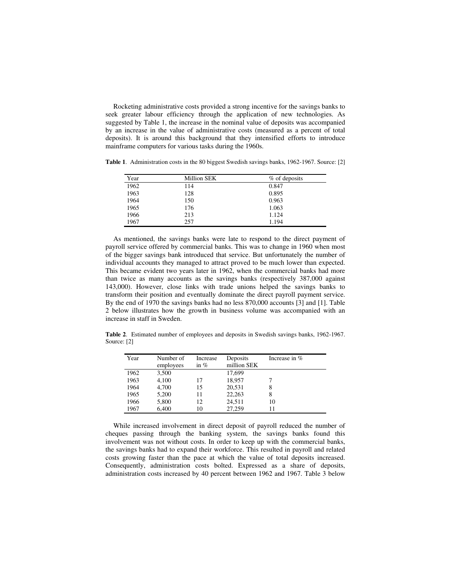Rocketing administrative costs provided a strong incentive for the savings banks to seek greater labour efficiency through the application of new technologies. As suggested by Table 1, the increase in the nominal value of deposits was accompanied by an increase in the value of administrative costs (measured as a percent of total deposits). It is around this background that they intensified efforts to introduce mainframe computers for various tasks during the 1960s.

**Table 1**. Administration costs in the 80 biggest Swedish savings banks, 1962-1967. Source: [2]

| Year | Million SEK | % of deposits |
|------|-------------|---------------|
| 1962 | 114         | 0.847         |
| 1963 | 128         | 0.895         |
| 1964 | 150         | 0.963         |
| 1965 | 176         | 1.063         |
| 1966 | 213         | 1.124         |
| 1967 | 257         | 1.194         |

As mentioned, the savings banks were late to respond to the direct payment of payroll service offered by commercial banks. This was to change in 1960 when most of the bigger savings bank introduced that service. But unfortunately the number of individual accounts they managed to attract proved to be much lower than expected. This became evident two years later in 1962, when the commercial banks had more than twice as many accounts as the savings banks (respectively 387,000 against 143,000). However, close links with trade unions helped the savings banks to transform their position and eventually dominate the direct payroll payment service. By the end of 1970 the savings banks had no less 870,000 accounts [3] and [1]. Table 2 below illustrates how the growth in business volume was accompanied with an increase in staff in Sweden.

**Table 2**. Estimated number of employees and deposits in Swedish savings banks, 1962-1967. Source: [2]

| Year | Number of<br>employees | Increase<br>in $%$ | Deposits<br>million SEK | Increase in $%$ |
|------|------------------------|--------------------|-------------------------|-----------------|
| 1962 | 3,500                  |                    | 17,699                  |                 |
| 1963 | 4,100                  | 17                 | 18,957                  |                 |
| 1964 | 4,700                  | 15                 | 20,531                  | 8               |
| 1965 | 5,200                  | 11                 | 22,263                  | 8               |
| 1966 | 5,800                  | 12                 | 24,511                  | 10              |
| 1967 | 6,400                  | 10                 | 27.259                  | 11              |

While increased involvement in direct deposit of payroll reduced the number of cheques passing through the banking system, the savings banks found this involvement was not without costs. In order to keep up with the commercial banks, the savings banks had to expand their workforce. This resulted in payroll and related costs growing faster than the pace at which the value of total deposits increased. Consequently, administration costs bolted. Expressed as a share of deposits, administration costs increased by 40 percent between 1962 and 1967. Table 3 below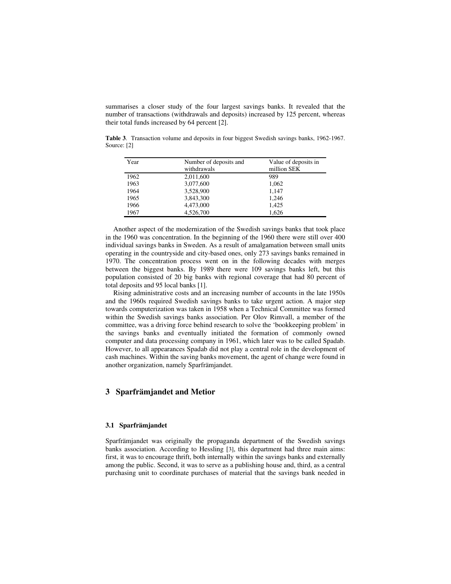summarises a closer study of the four largest savings banks. It revealed that the number of transactions (withdrawals and deposits) increased by 125 percent, whereas their total funds increased by 64 percent [2].

**Table 3**. Transaction volume and deposits in four biggest Swedish savings banks, 1962-1967. Source: [2]

| Year | Number of deposits and<br>withdrawals | Value of deposits in<br>million SEK |
|------|---------------------------------------|-------------------------------------|
| 1962 | 2,011,600                             | 989                                 |
| 1963 | 3,077,600                             | 1,062                               |
| 1964 | 3,528,900                             | 1,147                               |
| 1965 | 3,843,300                             | 1,246                               |
| 1966 | 4,473,000                             | 1,425                               |
| 1967 | 4,526,700                             | 1.626                               |

Another aspect of the modernization of the Swedish savings banks that took place in the 1960 was concentration. In the beginning of the 1960 there were still over 400 individual savings banks in Sweden. As a result of amalgamation between small units operating in the countryside and city-based ones, only 273 savings banks remained in 1970. The concentration process went on in the following decades with merges between the biggest banks. By 1989 there were 109 savings banks left, but this population consisted of 20 big banks with regional coverage that had 80 percent of total deposits and 95 local banks [1].

Rising administrative costs and an increasing number of accounts in the late 1950s and the 1960s required Swedish savings banks to take urgent action. A major step towards computerization was taken in 1958 when a Technical Committee was formed within the Swedish savings banks association. Per Olov Rimvall, a member of the committee, was a driving force behind research to solve the 'bookkeeping problem' in the savings banks and eventually initiated the formation of commonly owned computer and data processing company in 1961, which later was to be called Spadab. However, to all appearances Spadab did not play a central role in the development of cash machines. Within the saving banks movement, the agent of change were found in another organization, namely Sparfrämjandet.

#### **3 Sparfrämjandet and Metior**

#### **3.1 Sparfrämjandet**

Sparfrämjandet was originally the propaganda department of the Swedish savings banks association. According to Hessling [3], this department had three main aims: first, it was to encourage thrift, both internally within the savings banks and externally among the public. Second, it was to serve as a publishing house and, third, as a central purchasing unit to coordinate purchases of material that the savings bank needed in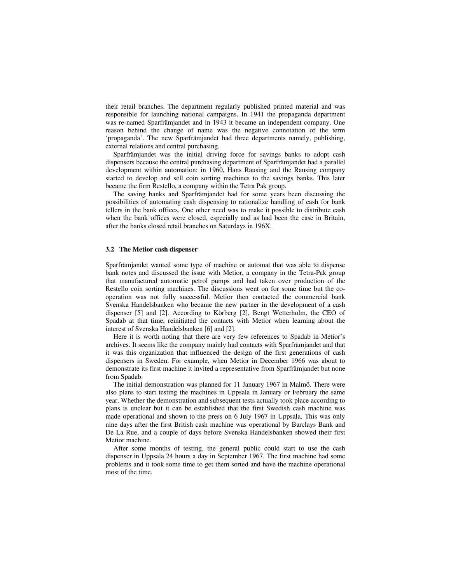their retail branches. The department regularly published printed material and was responsible for launching national campaigns. In 1941 the propaganda department was re-named Sparfrämjandet and in 1943 it became an independent company. One reason behind the change of name was the negative connotation of the term 'propaganda'. The new Sparfrämjandet had three departments namely, publishing, external relations and central purchasing.

Sparfrämjandet was the initial driving force for savings banks to adopt cash dispensers because the central purchasing department of Sparfrämjandet had a parallel development within automation: in 1960, Hans Rausing and the Rausing company started to develop and sell coin sorting machines to the savings banks. This later became the firm Restello, a company within the Tetra Pak group.

The saving banks and Sparfrämjandet had for some years been discussing the possibilities of automating cash dispensing to rationalize handling of cash for bank tellers in the bank offices. One other need was to make it possible to distribute cash when the bank offices were closed, especially and as had been the case in Britain, after the banks closed retail branches on Saturdays in 196X.

#### **3.2 The Metior cash dispenser**

Sparfrämjandet wanted some type of machine or automat that was able to dispense bank notes and discussed the issue with Metior, a company in the Tetra-Pak group that manufactured automatic petrol pumps and had taken over production of the Restello coin sorting machines. The discussions went on for some time but the cooperation was not fully successful. Metior then contacted the commercial bank Svenska Handelsbanken who became the new partner in the development of a cash dispenser [5] and [2]. According to Körberg [2], Bengt Wetterholm, the CEO of Spadab at that time, reinitiated the contacts with Metior when learning about the interest of Svenska Handelsbanken [6] and [2].

Here it is worth noting that there are very few references to Spadab in Metior's archives. It seems like the company mainly had contacts with Sparfrämjandet and that it was this organization that influenced the design of the first generations of cash dispensers in Sweden. For example, when Metior in December 1966 was about to demonstrate its first machine it invited a representative from Sparfrämjandet but none from Spadab.

The initial demonstration was planned for 11 January 1967 in Malmö. There were also plans to start testing the machines in Uppsala in January or February the same year. Whether the demonstration and subsequent tests actually took place according to plans is unclear but it can be established that the first Swedish cash machine was made operational and shown to the press on 6 July 1967 in Uppsala. This was only nine days after the first British cash machine was operational by Barclays Bank and De La Rue, and a couple of days before Svenska Handelsbanken showed their first Metior machine.

After some months of testing, the general public could start to use the cash dispenser in Uppsala 24 hours a day in September 1967. The first machine had some problems and it took some time to get them sorted and have the machine operational most of the time.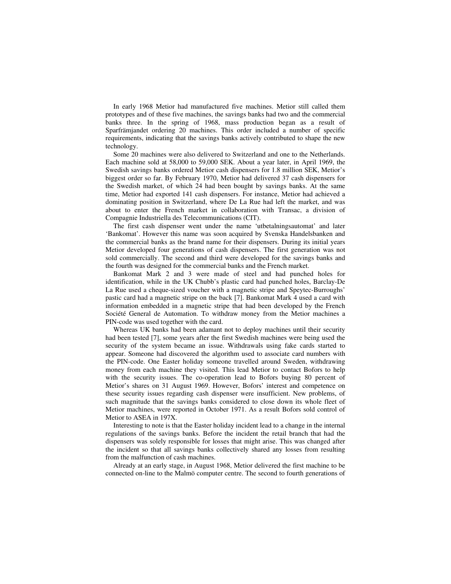In early 1968 Metior had manufactured five machines. Metior still called them prototypes and of these five machines, the savings banks had two and the commercial banks three. In the spring of 1968, mass production began as a result of Sparfrämjandet ordering 20 machines. This order included a number of specific requirements, indicating that the savings banks actively contributed to shape the new technology.

Some 20 machines were also delivered to Switzerland and one to the Netherlands. Each machine sold at 58,000 to 59,000 SEK. About a year later, in April 1969, the Swedish savings banks ordered Metior cash dispensers for 1.8 million SEK, Metior's biggest order so far. By February 1970, Metior had delivered 37 cash dispensers for the Swedish market, of which 24 had been bought by savings banks. At the same time, Metior had exported 141 cash dispensers. For instance, Metior had achieved a dominating position in Switzerland, where De La Rue had left the market, and was about to enter the French market in collaboration with Transac, a division of Compagnie Industriella des Telecommunications (CIT).

The first cash dispenser went under the name 'utbetalningsautomat' and later 'Bankomat'. However this name was soon acquired by Svenska Handelsbanken and the commercial banks as the brand name for their dispensers. During its initial years Metior developed four generations of cash dispensers. The first generation was not sold commercially. The second and third were developed for the savings banks and the fourth was designed for the commercial banks and the French market.

Bankomat Mark 2 and 3 were made of steel and had punched holes for identification, while in the UK Chubb's plastic card had punched holes, Barclay-De La Rue used a cheque-sized voucher with a magnetic stripe and Speytec-Burroughs' pastic card had a magnetic stripe on the back [7]. Bankomat Mark 4 used a card with information embedded in a magnetic stripe that had been developed by the French Société General de Automation. To withdraw money from the Metior machines a PIN-code was used together with the card.

Whereas UK banks had been adamant not to deploy machines until their security had been tested [7], some years after the first Swedish machines were being used the security of the system became an issue. Withdrawals using fake cards started to appear. Someone had discovered the algorithm used to associate card numbers with the PIN-code. One Easter holiday someone travelled around Sweden, withdrawing money from each machine they visited. This lead Metior to contact Bofors to help with the security issues. The co-operation lead to Bofors buying 80 percent of Metior's shares on 31 August 1969. However, Bofors' interest and competence on these security issues regarding cash dispenser were insufficient. New problems, of such magnitude that the savings banks considered to close down its whole fleet of Metior machines, were reported in October 1971. As a result Bofors sold control of Metior to ASEA in 197X.

Interesting to note is that the Easter holiday incident lead to a change in the internal regulations of the savings banks. Before the incident the retail branch that had the dispensers was solely responsible for losses that might arise. This was changed after the incident so that all savings banks collectively shared any losses from resulting from the malfunction of cash machines.

Already at an early stage, in August 1968, Metior delivered the first machine to be connected on-line to the Malmö computer centre. The second to fourth generations of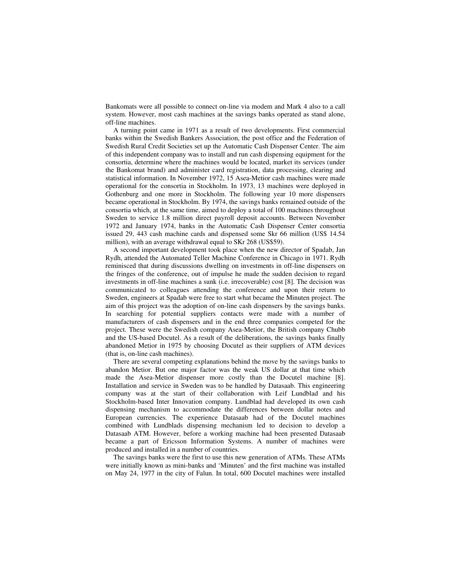Bankomats were all possible to connect on-line via modem and Mark 4 also to a call system. However, most cash machines at the savings banks operated as stand alone, off-line machines.

A turning point came in 1971 as a result of two developments. First commercial banks within the Swedish Bankers Association, the post office and the Federation of Swedish Rural Credit Societies set up the Automatic Cash Dispenser Center. The aim of this independent company was to install and run cash dispensing equipment for the consortia, determine where the machines would be located, market its services (under the Bankomat brand) and administer card registration, data processing, clearing and statistical information. In November 1972, 15 Asea-Metior cash machines were made operational for the consortia in Stockholm. In 1973, 13 machines were deployed in Gothenburg and one more in Stockholm. The following year 10 more dispensers became operational in Stockholm. By 1974, the savings banks remained outside of the consortia which, at the same time, aimed to deploy a total of 100 machines throughout Sweden to service 1.8 million direct payroll deposit accounts. Between November 1972 and January 1974, banks in the Automatic Cash Dispenser Center consortia issued 29, 443 cash machine cards and dispensed some Skr 66 million (US\$ 14.54 million), with an average withdrawal equal to SKr 268 (US\$59).

A second important development took place when the new director of Spadab, Jan Rydh, attended the Automated Teller Machine Conference in Chicago in 1971. Rydh reminisced that during discussions dwelling on investments in off-line dispensers on the fringes of the conference, out of impulse he made the sudden decision to regard investments in off-line machines a sunk (i.e. irrecoverable) cost [8]. The decision was communicated to colleagues attending the conference and upon their return to Sweden, engineers at Spadab were free to start what became the Minuten project. The aim of this project was the adoption of on-line cash dispensers by the savings banks. In searching for potential suppliers contacts were made with a number of manufacturers of cash dispensers and in the end three companies competed for the project. These were the Swedish company Asea-Metior, the British company Chubb and the US-based Docutel. As a result of the deliberations, the savings banks finally abandoned Metior in 1975 by choosing Docutel as their suppliers of ATM devices (that is, on-line cash machines).

There are several competing explanations behind the move by the savings banks to abandon Metior. But one major factor was the weak US dollar at that time which made the Asea-Metior dispenser more costly than the Docutel machine [8]. Installation and service in Sweden was to be handled by Datasaab. This engineering company was at the start of their collaboration with Leif Lundblad and his Stockholm-based Inter Innovation company. Lundblad had developed its own cash dispensing mechanism to accommodate the differences between dollar notes and European currencies. The experience Datasaab had of the Docutel machines combined with Lundblads dispensing mechanism led to decision to develop a Datasaab ATM. However, before a working machine had been presented Datasaab became a part of Ericsson Information Systems. A number of machines were produced and installed in a number of countries.

The savings banks were the first to use this new generation of ATMs. These ATMs were initially known as mini-banks and 'Minuten' and the first machine was installed on May 24, 1977 in the city of Falun. In total, 600 Docutel machines were installed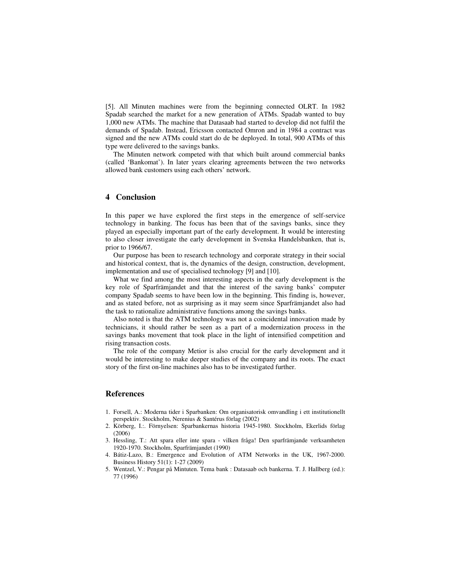[5]. All Minuten machines were from the beginning connected OLRT. In 1982 Spadab searched the market for a new generation of ATMs. Spadab wanted to buy 1,000 new ATMs. The machine that Datasaab had started to develop did not fulfil the demands of Spadab. Instead, Ericsson contacted Omron and in 1984 a contract was signed and the new ATMs could start do de be deployed. In total, 900 ATMs of this type were delivered to the savings banks.

The Minuten network competed with that which built around commercial banks (called 'Bankomat'). In later years clearing agreements between the two networks allowed bank customers using each others' network.

# **4 Conclusion**

In this paper we have explored the first steps in the emergence of self-service technology in banking. The focus has been that of the savings banks, since they played an especially important part of the early development. It would be interesting to also closer investigate the early development in Svenska Handelsbanken, that is, prior to 1966/67.

Our purpose has been to research technology and corporate strategy in their social and historical context, that is, the dynamics of the design, construction, development, implementation and use of specialised technology [9] and [10].

What we find among the most interesting aspects in the early development is the key role of Sparfrämjandet and that the interest of the saving banks' computer company Spadab seems to have been low in the beginning. This finding is, however, and as stated before, not as surprising as it may seem since Sparfrämjandet also had the task to rationalize administrative functions among the savings banks.

Also noted is that the ATM technology was not a coincidental innovation made by technicians, it should rather be seen as a part of a modernization process in the savings banks movement that took place in the light of intensified competition and rising transaction costs.

The role of the company Metior is also crucial for the early development and it would be interesting to make deeper studies of the company and its roots. The exact story of the first on-line machines also has to be investigated further.

# **References**

- 1. Forsell, A.: Moderna tider i Sparbanken: Om organisatorisk omvandling i ett institutionellt perspektiv. Stockholm, Nerenius & Santérus förlag (2002)
- 2. Körberg, I.:. Förnyelsen: Sparbankernas historia 1945-1980. Stockholm, Ekerlids förlag (2006)
- 3. Hessling, T.: Att spara eller inte spara vilken fråga! Den sparfrämjande verksamheten 1920-1970. Stockholm, Sparfrämjandet (1990)
- 4. Bátiz-Lazo, B.: Emergence and Evolution of ATM Networks in the UK, 1967-2000. Business History 51(1): 1-27 (2009)
- 5. Wentzel, V.: Pengar på Mintuten. Tema bank : Datasaab och bankerna. T. J. Hallberg (ed.): 77 (1996)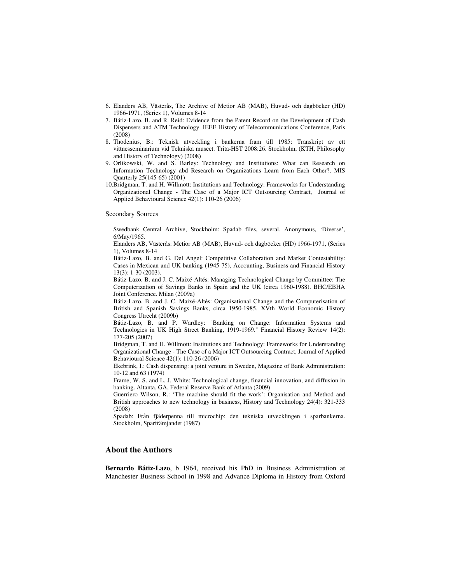- 6. Elanders AB, Västerås, The Archive of Metior AB (MAB), Huvud- och dagböcker (HD) 1966-1971, (Series 1), Volumes 8-14
- 7. Bátiz-Lazo, B. and R. Reid: Evidence from the Patent Record on the Development of Cash Dispensers and ATM Technology. IEEE History of Telecommunications Conference, Paris (2008)
- 8. Thodenius, B.: Teknisk utveckling i bankerna fram till 1985: Transkript av ett vittnesseminarium vid Tekniska museet. Trita-HST 2008:26. Stockholm, (KTH, Philosophy and History of Technology) (2008)
- 9. Orlikowski, W. and S. Barley: Technology and Institutions: What can Research on Information Technology abd Research on Organizations Learn from Each Other?, MIS Quarterly 25(145-65) (2001)
- 10.Bridgman, T. and H. Willmott: Institutions and Technology: Frameworks for Understanding Organizational Change - The Case of a Major ICT Outsourcing Contract, Journal of Applied Behavioural Science 42(1): 110-26 (2006)

Secondary Sources

Swedbank Central Archive, Stockholm: Spadab files, several. Anonymous, 'Diverse', 6/May/1965.

Elanders AB, Västerås: Metior AB (MAB), Huvud- och dagböcker (HD) 1966-1971, (Series 1), Volumes 8-14

Bátiz-Lazo, B. and G. Del Angel: Competitive Collaboration and Market Contestability: Cases in Mexican and UK banking (1945-75), Accounting, Business and Financial History 13(3): 1-30 (2003).

Bátiz-Lazo, B. and J. C. Maixé-Altés: Managing Technological Change by Committee: The Computerization of Savings Banks in Spain and the UK (circa 1960-1988). BHC/EBHA Joint Conference. Milan (2009a)

Bátiz-Lazo, B. and J. C. Maixé-Altés: Organisational Change and the Computerisation of British and Spanish Savings Banks, circa 1950-1985. XVth World Economic History Congress Utrecht (2009b)

Bátiz-Lazo, B. and P. Wardley: "Banking on Change: Information Systems and Technologies in UK High Street Banking, 1919-1969." Financial History Review 14(2): 177-205 (2007)

Bridgman, T. and H. Willmott: Institutions and Technology: Frameworks for Understanding Organizational Change - The Case of a Major ICT Outsourcing Contract, Journal of Applied Behavioural Science 42(1): 110-26 (2006)

Ekebrink, I.: Cash dispensing: a joint venture in Sweden, Magazine of Bank Administration: 10-12 and 63 (1974)

Frame, W. S. and L. J. White: Technological change, financial innovation, and diffusion in banking. Altanta, GA, Federal Reserve Bank of Atlanta (2009)

Guerriero Wilson, R.: 'The machine should fit the work': Organisation and Method and British approaches to new technology in business, History and Technology 24(4): 321-333 (2008)

Spadab: Från fjäderpenna till microchip: den tekniska utvecklingen i sparbankerna. Stockholm, Sparfrämjandet (1987)

# **About the Authors**

**Bernardo Bátiz-Lazo**, b 1964, received his PhD in Business Administration at Manchester Business School in 1998 and Advance Diploma in History from Oxford